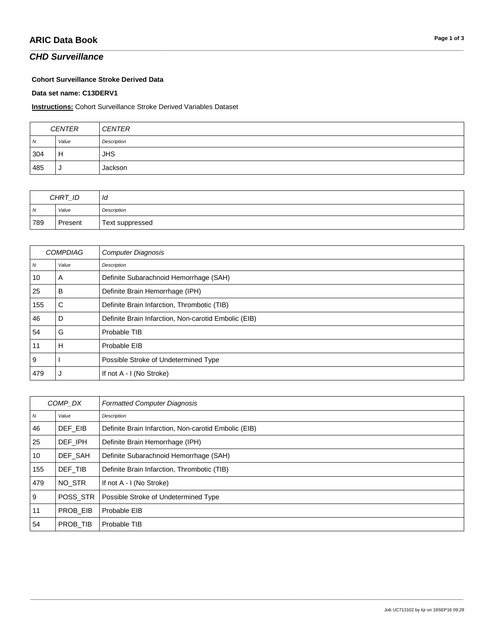## **CHD Surveillance**

#### **Cohort Surveillance Stroke Derived Data**

Data set name: C13DERV1

#### **Instructions:** Cohort Surveillance Stroke Derived Variables Dataset

| <b>CENTER</b>  |       | <b>CENTER</b> |
|----------------|-------|---------------|
| $\overline{M}$ | Value | Description   |
| 304            | Н     | JHS           |
| 485            |       | Jackson       |

| CHRT_ID |         | ld              |
|---------|---------|-----------------|
| IN.     | Value   | Description     |
| 789     | Present | Text suppressed |

| <b>COMPDIAG</b>  |       | <b>Computer Diagnosis</b>                            |
|------------------|-------|------------------------------------------------------|
| $\boldsymbol{N}$ | Value | Description                                          |
| 10               | A     | Definite Subarachnoid Hemorrhage (SAH)               |
| 25               | в     | Definite Brain Hemorrhage (IPH)                      |
| 155              | С     | Definite Brain Infarction, Thrombotic (TIB)          |
| 46               | D     | Definite Brain Infarction, Non-carotid Embolic (EIB) |
| 54               | G     | Probable TIB                                         |
| 11               | Н     | Probable EIB                                         |
| 9                |       | Possible Stroke of Undetermined Type                 |
| 479              |       | If not A - I (No Stroke)                             |

| COMP DX          |          | <b>Formatted Computer Diagnosis</b>                  |
|------------------|----------|------------------------------------------------------|
| $\boldsymbol{N}$ | Value    | Description                                          |
| 46               | DEF EIB  | Definite Brain Infarction, Non-carotid Embolic (EIB) |
| 25               | DEF IPH  | Definite Brain Hemorrhage (IPH)                      |
| 10               | DEF SAH  | Definite Subarachnoid Hemorrhage (SAH)               |
| 155              | DEF TIB  | Definite Brain Infarction, Thrombotic (TIB)          |
| 479              | NO STR   | If not A - I (No Stroke)                             |
| 9                | POSS STR | Possible Stroke of Undetermined Type                 |
| 11               | PROB EIB | Probable EIB                                         |
| 54               | PROB TIB | Probable TIB                                         |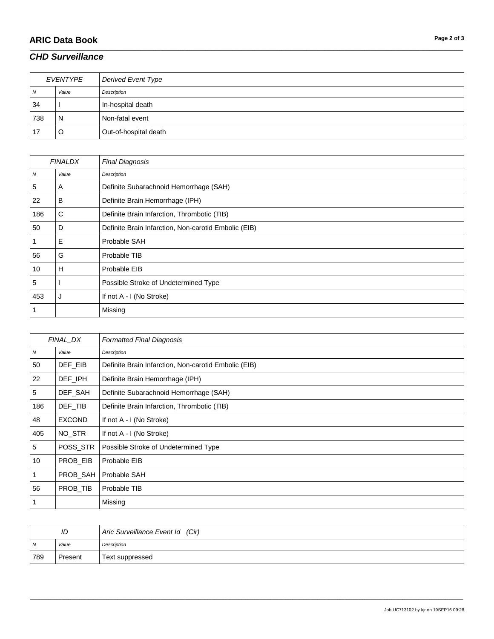# **ARIC Data Book Page 2 of 3**

## *CHD Surveillance*

| EVENTYPE |       | Derived Event Type    |
|----------|-------|-----------------------|
| N        | Value | Description           |
| 34       |       | In-hospital death     |
| 738      | N     | Non-fatal event       |
| 17       | O     | Out-of-hospital death |

\_\_\_\_\_\_\_\_\_\_\_\_\_\_\_\_\_\_\_\_\_\_\_\_\_\_\_\_\_\_\_\_\_\_\_\_\_\_\_\_\_\_\_\_\_\_\_\_\_\_\_\_\_\_\_\_\_\_\_\_\_\_\_\_\_\_\_\_\_\_\_\_\_\_\_\_\_\_\_\_\_\_\_\_\_\_\_\_\_\_\_\_\_\_\_\_\_\_\_\_\_\_\_\_\_\_\_\_\_\_\_\_\_\_\_\_\_\_\_\_\_\_\_\_\_\_\_\_\_\_\_\_\_\_\_\_\_\_\_\_\_\_\_\_\_\_\_\_\_\_\_\_\_\_\_\_\_\_\_\_\_\_\_\_\_\_\_\_\_\_\_\_\_\_\_\_\_\_\_\_\_\_\_\_\_\_\_\_\_\_\_\_\_

| <b>FINALDX</b> |       | <b>Final Diagnosis</b>                               |
|----------------|-------|------------------------------------------------------|
| ${\cal N}$     | Value | Description                                          |
| 5              | A     | Definite Subarachnoid Hemorrhage (SAH)               |
| 22             | B     | Definite Brain Hemorrhage (IPH)                      |
| 186            | С     | Definite Brain Infarction, Thrombotic (TIB)          |
| 50             | D     | Definite Brain Infarction, Non-carotid Embolic (EIB) |
|                | Е     | Probable SAH                                         |
| 56             | G     | Probable TIB                                         |
| 10             | н     | Probable EIB                                         |
| 5              |       | Possible Stroke of Undetermined Type                 |
| 453            |       | If not A - I (No Stroke)                             |
|                |       | Missing                                              |

| FINAL_DX         |               | <b>Formatted Final Diagnosis</b>                     |
|------------------|---------------|------------------------------------------------------|
| $\boldsymbol{N}$ | Value         | Description                                          |
| 50               | DEF_EIB       | Definite Brain Infarction, Non-carotid Embolic (EIB) |
| 22               | DEF IPH       | Definite Brain Hemorrhage (IPH)                      |
| 5                | DEF SAH       | Definite Subarachnoid Hemorrhage (SAH)               |
| 186              | DEF_TIB       | Definite Brain Infarction, Thrombotic (TIB)          |
| 48               | <b>EXCOND</b> | If not A - I (No Stroke)                             |
| 405              | NO_STR        | If not A - I (No Stroke)                             |
| 5                | POSS_STR      | Possible Stroke of Undetermined Type                 |
| 10               | PROB_EIB      | Probable EIB                                         |
|                  | PROB_SAH      | Probable SAH                                         |
| 56               | PROB_TIB      | Probable TIB                                         |
|                  |               | Missing                                              |

| ID  |         | Aric Surveillance Event Id (Cir) |
|-----|---------|----------------------------------|
| N   | Value   | Description                      |
| 789 | Present | Text suppressed                  |

\_\_\_\_\_\_\_\_\_\_\_\_\_\_\_\_\_\_\_\_\_\_\_\_\_\_\_\_\_\_\_\_\_\_\_\_\_\_\_\_\_\_\_\_\_\_\_\_\_\_\_\_\_\_\_\_\_\_\_\_\_\_\_\_\_\_\_\_\_\_\_\_\_\_\_\_\_\_\_\_\_\_\_\_\_\_\_\_\_\_\_\_\_\_\_\_\_\_\_\_\_\_\_\_\_\_\_\_\_\_\_\_\_\_\_\_\_\_\_\_\_\_\_\_\_\_\_\_\_\_\_\_\_\_\_\_\_\_\_\_\_\_\_\_\_\_\_\_\_\_\_\_\_\_\_\_\_\_\_\_\_\_\_\_\_\_\_\_\_\_\_\_\_\_\_\_\_\_\_\_\_\_\_\_\_\_\_\_\_\_\_\_\_